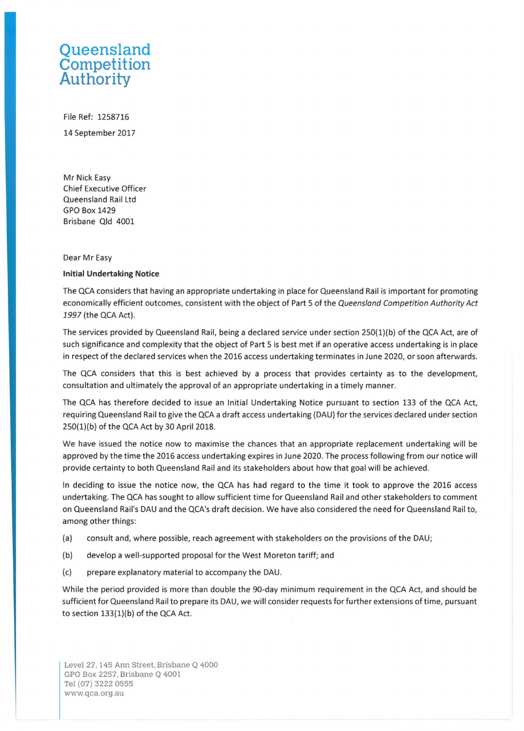## **Queensland Competition Authority**

File Ref: 1258716 14 September 2017

Mr Nick Easy Chief Executive Officer Queensland Rail Ltd GPO Box 1429 Brisbane Qld 4001

## Dear Mr Easy

## **Initial Undertaking Notice**

The QCA considers that having an appropriate undertaking in place for Queensland Rail is important for promoting economically efficient outcomes, consistent with the object of Part 5 of the Queensland Competition Authority Act *1997* (the QCA Act).

The services provided by Queensland Rail, being a declared service under section 250(1)(b) of the QCA Act, are of such significance and complexity that the object of Part 5 is best met if an operative access undertaking is in place in respect of the declared services when the 2016 access undertaking terminates in June 2020, or soon afterwards.

The QCA considers that this is best achieved by a process that provides certainty as to the development, consultation and ultimately the approval of an appropriate undertaking in a timely manner.

The QCA has therefore decided to issue an Initial Undertaking Notice pursuant to section 133 of the QCA Act, requiring Queensland Rail to give the QCA a draft access undertaking (DAU) for the services declared under section 250(1)(b) of the QCA Act by 30 April 2018.

We have issued the notice now to maximise the chances that an appropriate replacement undertaking will be approved by the time the 2016 access undertaking expires in June 2020. The process following from our notice will provide certainty to both Queensland Rail and its stakeholders about how that goal will be achieved.

In deciding to issue the notice now, the QCA has had regard to the time it took to approve the 2016 access undertaking. The QCA has sought to allow sufficient time for Queensland Rail and other stakeholders to comment on Queensland Rail's DAU and the QCA's draft decision. We have also considered the need for Queensland Rail to, among other things:

- (a) consult and, where possible, reach agreement with stakeholders on the provisions of the DAU;
- (b) develop a well-supported proposal for the West Moreton tariff; and
- (c) prepare explanatory material to accompany the DAU.

While the period provided is more than double the 90-day minimum requirement in the QCA Act, and should be sufficient for Queensland Rail to prepare its DAU, we will consider requests for further extensions of time, pursuant to section 133(1)(b) of the QCA Act.

Level 27, 145 Ann Street, Brisbane Q 4000 GPO Box 2257, Brisbane Q 4001 Tel (07) 3222 0555 [www.qca.org.au](http://www.qca.org.au)